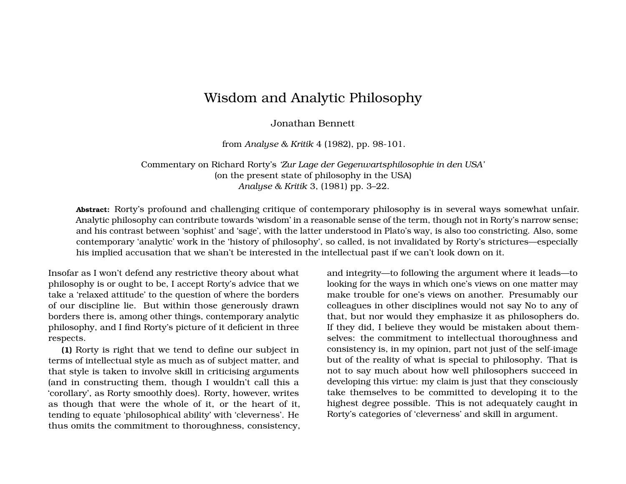## Wisdom and Analytic Philosophy

Jonathan Bennett

from *Analyse & Kritik* 4 (1982), pp. 98-101.

Commentary on Richard Rorty's *'Zur Lage der Gegenwartsphilosophie in den USA'* (on the present state of philosophy in the USA) *Analyse & Kritik* 3, (1981) pp. 3–22.

**Abstract:** Rorty's profound and challenging critique of contemporary philosophy is in several ways somewhat unfair. Analytic philosophy can contribute towards 'wisdom' in a reasonable sense of the term, though not in Rorty's narrow sense; and his contrast between 'sophist' and 'sage', with the latter understood in Plato's way, is also too constricting. Also, some contemporary 'analytic' work in the 'history of philosophy', so called, is not invalidated by Rorty's strictures—especially his implied accusation that we shan't be interested in the intellectual past if we can't look down on it.

Insofar as I won't defend any restrictive theory about what philosophy is or ought to be, I accept Rorty's advice that we take a 'relaxed attitude' to the question of where the borders of our discipline lie. But within those generously drawn borders there is, among other things, contemporary analytic philosophy, and I find Rorty's picture of it deficient in three respects.

**(1)** Rorty is right that we tend to define our subject in terms of intellectual style as much as of subject matter, and that style is taken to involve skill in criticising arguments (and in constructing them, though I wouldn't call this a 'corollary', as Rorty smoothly does). Rorty, however, writes as though that were the whole of it, or the heart of it, tending to equate 'philosophical ability' with 'cleverness'. He thus omits the commitment to thoroughness, consistency, and integrity—to following the argument where it leads—to looking for the ways in which one's views on one matter may make trouble for one's views on another. Presumably our colleagues in other disciplines would not say No to any of that, but nor would they emphasize it as philosophers do. If they did, I believe they would be mistaken about themselves: the commitment to intellectual thoroughness and consistency is, in my opinion, part not just of the self-image but of the reality of what is special to philosophy. That is not to say much about how well philosophers succeed in developing this virtue: my claim is just that they consciously take themselves to be committed to developing it to the highest degree possible. This is not adequately caught in Rorty's categories of 'cleverness' and skill in argument.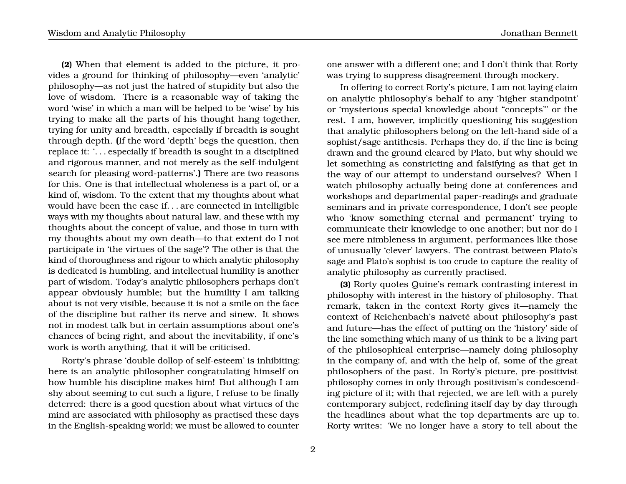**(2)** When that element is added to the picture, it provides a ground for thinking of philosophy—even 'analytic' philosophy—as not just the hatred of stupidity but also the love of wisdom. There is a reasonable way of taking the word 'wise' in which a man will be helped to be 'wise' by his trying to make all the parts of his thought hang together, trying for unity and breadth, especially if breadth is sought through depth. **(**If the word 'depth' begs the question, then replace it: '. . . especially if breadth is sought in a disciplined and rigorous manner, and not merely as the self-indulgent search for pleasing word-patterns'.**)** There are two reasons for this. One is that intellectual wholeness is a part of, or a kind of, wisdom. To the extent that my thoughts about what would have been the case if. . . are connected in intelligible ways with my thoughts about natural law, and these with my thoughts about the concept of value, and those in turn with my thoughts about my own death—to that extent do I not participate in 'the virtues of the sage'? The other is that the kind of thoroughness and rigour to which analytic philosophy is dedicated is humbling, and intellectual humility is another part of wisdom. Today's analytic philosophers perhaps don't appear obviously humble; but the humility I am talking about is not very visible, because it is not a smile on the face of the discipline but rather its nerve and sinew. It shows not in modest talk but in certain assumptions about one's chances of being right, and about the inevitability, if one's work is worth anything, that it will be criticised.

Rorty's phrase 'double dollop of self-esteem' is inhibiting: here is an analytic philosopher congratulating himself on how humble his discipline makes him! But although I am shy about seeming to cut such a figure, I refuse to be finally deterred: there is a good question about what virtues of the mind are associated with philosophy as practised these days in the English-speaking world; we must be allowed to counter one answer with a different one; and I don't think that Rorty was trying to suppress disagreement through mockery.

In offering to correct Rorty's picture, I am not laying claim on analytic philosophy's behalf to any 'higher standpoint' or 'mysterious special knowledge about "concepts"' or the rest. I am, however, implicitly questioning his suggestion that analytic philosophers belong on the left-hand side of a sophist/sage antithesis. Perhaps they do, if the line is being drawn and the ground cleared by Plato, but why should we let something as constricting and falsifying as that get in the way of our attempt to understand ourselves? When I watch philosophy actually being done at conferences and workshops and departmental paper-readings and graduate seminars and in private correspondence, I don't see people who 'know something eternal and permanent' trying to communicate their knowledge to one another; but nor do I see mere nimbleness in argument, performances like those of unusually 'clever' lawyers. The contrast between Plato's sage and Plato's sophist is too crude to capture the reality of analytic philosophy as currently practised.

**(3)** Rorty quotes Quine's remark contrasting interest in philosophy with interest in the history of philosophy. That remark, taken in the context Rorty gives it—namely the context of Reichenbach's naiveté about philosophy's past and future—has the effect of putting on the 'history' side of the line something which many of us think to be a living part of the philosophical enterprise—namely doing philosophy in the company of, and with the help of, some of the great philosophers of the past. In Rorty's picture, pre-positivist philosophy comes in only through positivism's condescending picture of it; with that rejected, we are left with a purely contemporary subject, redefining itself day by day through the headlines about what the top departments are up to. Rorty writes: 'We no longer have a story to tell about the